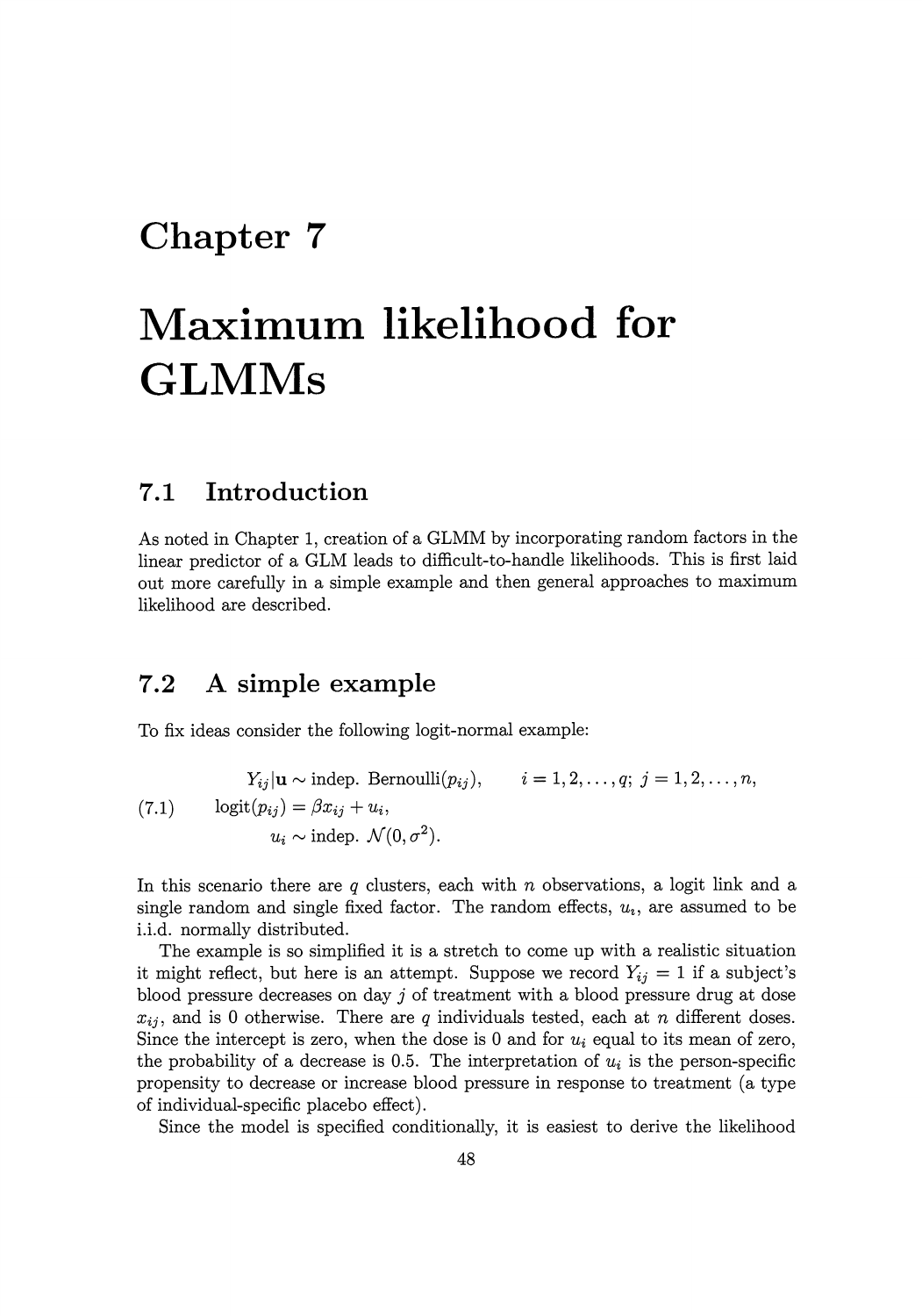## **Chapter 7**

# **Maximum likelihood for GLMMs**

## **7.1 Introduction**

As noted in Chapter 1, creation of a GLMM by incorporating random factors in the linear predictor of a GLM leads to difficult-to-handle likelihoods. This is first laid out more carefully in a simple example and then general approaches to maximum likelihood are described.

## **7.2 A simple example**

To fix ideas consider the following logit-normal example:

(7.1) 
$$
Y_{ij}|\mathbf{u} \sim \text{indep. Bernoulli}(p_{ij}), \qquad i = 1, 2, ..., q; \ j = 1, 2, ..., n,
$$

$$
\text{logit}(p_{ij}) = \beta x_{ij} + u_i,
$$

$$
u_i \sim \text{indep. } \mathcal{N}(0, \sigma^2).
$$

In this scenario there are *q* clusters, each with *n* observations, a logit link and a single random and single fixed factor. The random effects,  $u_i$ , are assumed to be i.i.d. normally distributed.

The example is so simplified it is a stretch to come up with a realistic situation it might reflect, but here is an attempt. Suppose we record  $Y_{ij} = 1$  if a subject's blood pressure decreases on day j of treatment with a blood pressure drug at dose  $x_{ij}$ , and is 0 otherwise. There are  $q$  individuals tested, each at  $n$  different doses. Since the intercept is zero, when the dose is 0 and for  $u_i$  equal to its mean of zero, the probability of a decrease is 0.5. The interpretation of  $u_i$  is the person-specific propensity to decrease or increase blood pressure in response to treatment (a type of individual-specific placebo effect).

Since the model is specified conditionally, it is easiest to derive the likelihood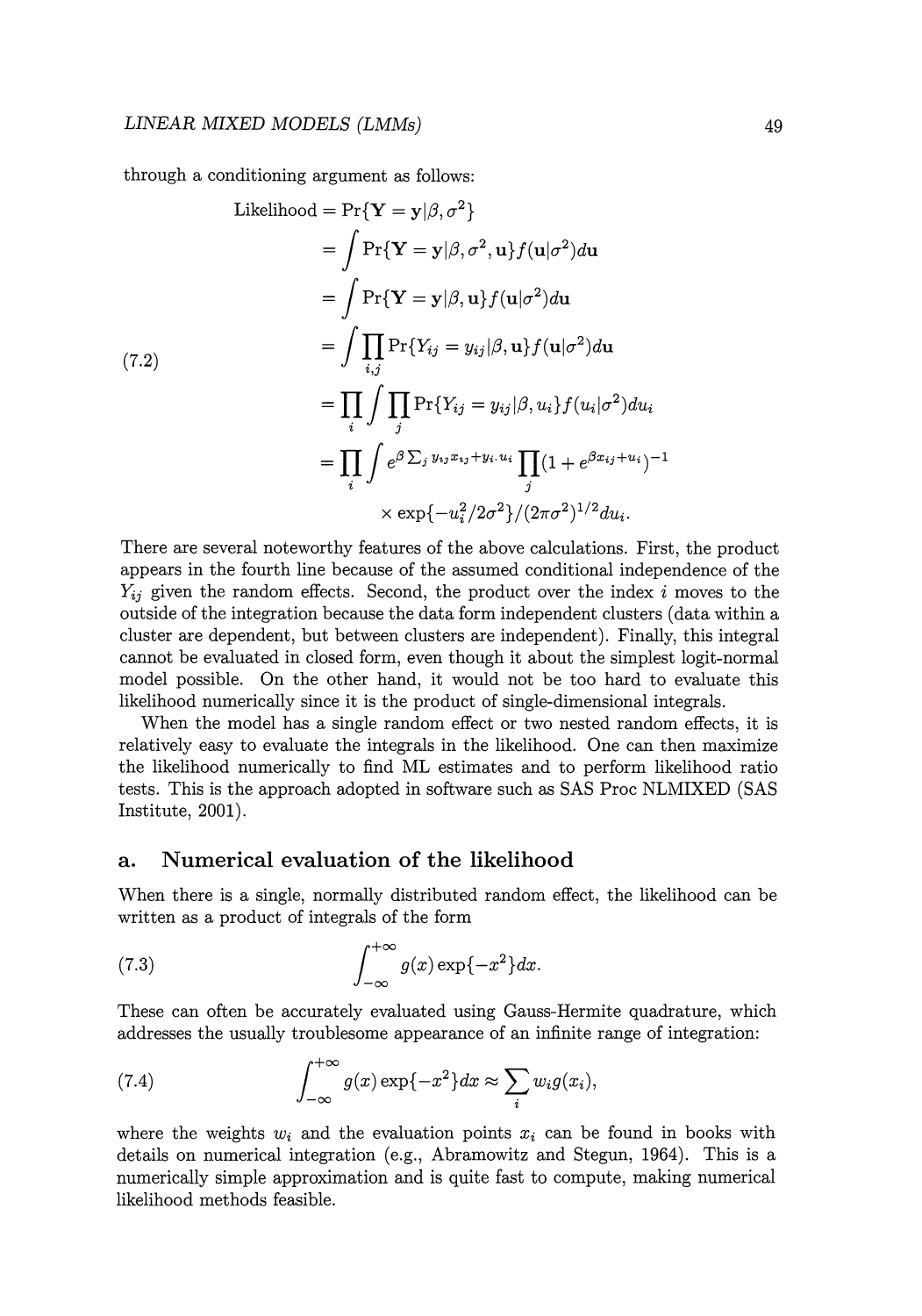through a conditioning argument as follows:

Likelihood = 
$$
\Pr\{\mathbf{Y} = \mathbf{y} | \boldsymbol{\beta}, \sigma^2\}
$$

\n
$$
= \int \Pr\{\mathbf{Y} = \mathbf{y} | \boldsymbol{\beta}, \sigma^2, \mathbf{u}\} f(\mathbf{u} | \sigma^2) d\mathbf{u}
$$

\n
$$
= \int \Pr\{\mathbf{Y} = \mathbf{y} | \boldsymbol{\beta}, \mathbf{u}\} f(\mathbf{u} | \sigma^2) d\mathbf{u}
$$

\n
$$
= \int \prod_{i,j} \Pr\{Y_{ij} = y_{ij} | \boldsymbol{\beta}, \mathbf{u}\} f(\mathbf{u} | \sigma^2) d\mathbf{u}
$$

\n
$$
= \prod_i \int \prod_j \Pr\{Y_{ij} = y_{ij} | \boldsymbol{\beta}, u_i\} f(u_i | \sigma^2) d u_i
$$

\n
$$
= \prod_i \int e^{\beta \sum_j y_{ij} x_{ij} + y_i u_i} \prod_j (1 + e^{\beta x_{ij} + u_i})^{-1}
$$

\n
$$
\times \exp\{-u_i^2/2\sigma^2\}/(2\pi\sigma^2)^{1/2} du_i.
$$

There are several noteworthy features of the above calculations. First, the product appears in the fourth line because of the assumed conditional independence of the *Yij* given the random effects. Second, the product over the index i moves to the outside of the integration because the data form independent clusters (data within a cluster are dependent, but between clusters are independent). Finally, this integral cannot be evaluated in closed form, even though it about the simplest logit-normal model possible. On the other hand, it would not be too hard to evaluate this likelihood numerically since it is the product of single-dimensional integrals.

When the model has a single random effect or two nested random effects, it is relatively easy to evaluate the integrals in the likelihood. One can then maximize the likelihood numerically to find ML estimates and to perform likelihood ratio tests. This is the approach adopted in software such as SAS Proc NLMIXED (SAS Institute, 2001).

#### **a. Numerical evaluation of the likelihood**

When there is a single, normally distributed random effect, the likelihood can be written as a product of integrals of the form

(7.3) 
$$
\int_{-\infty}^{+\infty} g(x) \exp\{-x^2\} dx.
$$

These can often be accurately evaluated using Gauss-Hermite quadrature, which addresses the usually troublesome appearance of an infinite range of integration:

(7.4) 
$$
\int_{-\infty}^{+\infty} g(x) \exp\{-x^2\} dx \approx \sum_i w_i g(x_i),
$$

where the weights  $w_i$  and the evaluation points  $x_i$  can be found in books with details on numerical integration (e.g., Abramowitz and Stegun, 1964). This is a numerically simple approximation and is quite fast to compute, making numerical likelihood methods feasible.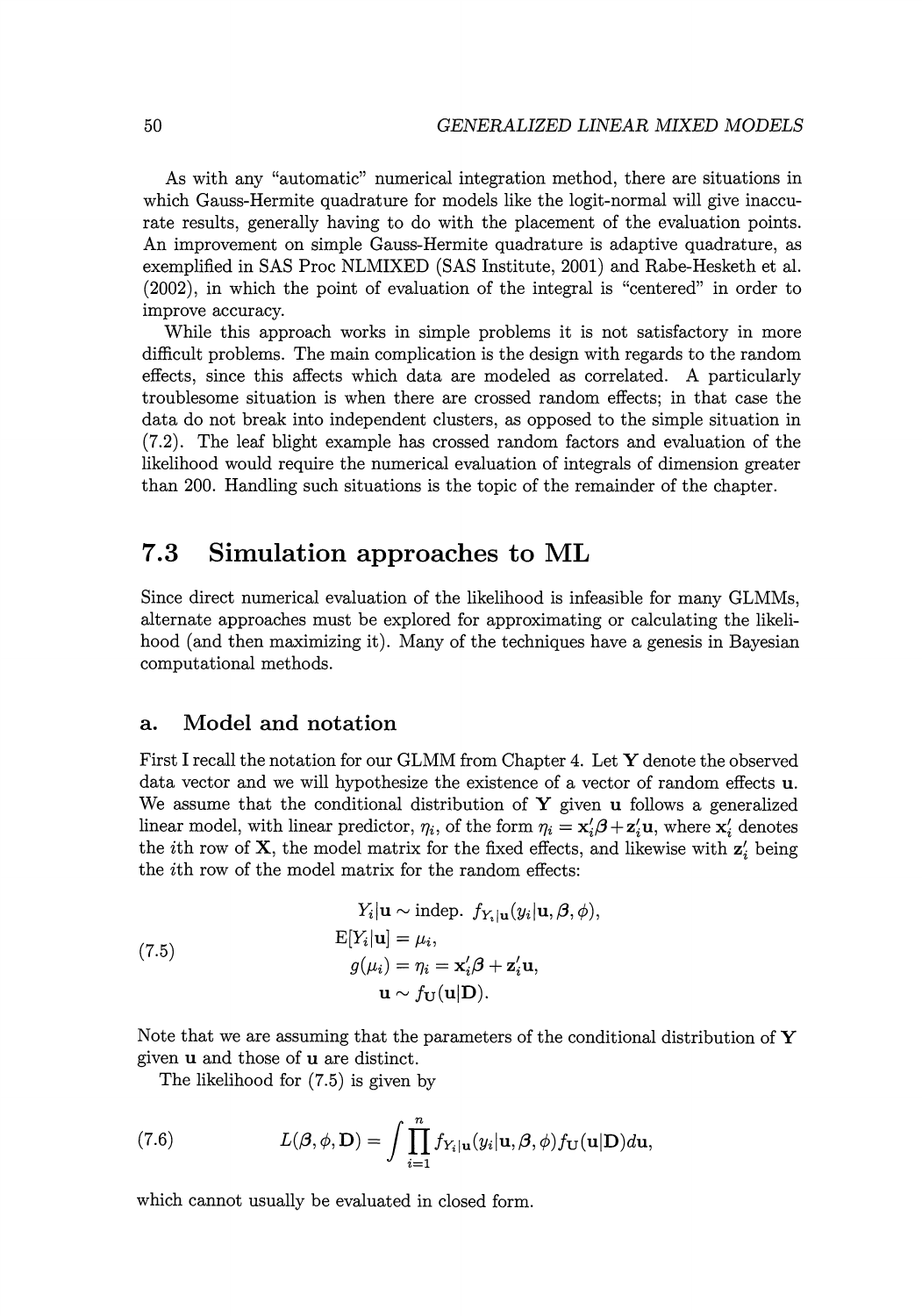As with any "automatic" numerical integration method, there are situations in which Gauss-Hermite quadrature for models like the logit-normal will give inaccurate results, generally having to do with the placement of the evaluation points. An improvement on simple Gauss-Hermite quadrature is adaptive quadrature, as exemplified in SAS Proc NLMIXED (SAS Institute, 2001) and Rabe-Hesketh et al. (2002), in which the point of evaluation of the integral is "centered" in order to improve accuracy.

While this approach works in simple problems it is not satisfactory in more difficult problems. The main complication is the design with regards to the random effects, since this affects which data are modeled as correlated. A particularly troublesome situation is when there are crossed random effects; in that case the data do not break into independent clusters, as opposed to the simple situation in (7.2). The leaf blight example has crossed random factors and evaluation of the likelihood would require the numerical evaluation of integrals of dimension greater than 200. Handling such situations is the topic of the remainder of the chapter.

## **7.3 Simulation approaches to ML**

Since direct numerical evaluation of the likelihood is infeasible for many GLMMs, alternate approaches must be explored for approximating or calculating the likelihood (and then maximizing it). Many of the techniques have a genesis in Bayesian computational methods.

#### **a. Model and notation**

First I recall the notation for our GLMM from Chapter 4. Let Y denote the observed data vector and we will hypothesize the existence of a vector of random effects **u.**  We assume that the conditional distribution of Y given **u** follows a generalized linear model, with linear predictor,  $\eta_i$ , of the form  $\eta_i = \mathbf{x}'_i \boldsymbol{\beta} + \mathbf{z}'_i \mathbf{u}$ , where  $\mathbf{x}'_i$  denotes the *i*th row of  $X$ , the model matrix for the fixed effects, and likewise with  $z'$ , being the ith row of the model matrix for the random effects:

(7.5)  
\n
$$
Y_i|\mathbf{u} \sim \text{indep. } f_{Y_i|\mathbf{u}}(y_i|\mathbf{u}, \beta, \phi),
$$
\n
$$
E[Y_i|\mathbf{u}] = \mu_i,
$$
\n
$$
g(\mu_i) = \eta_i = \mathbf{x}'_i \beta + \mathbf{z}'_i \mathbf{u},
$$
\n
$$
\mathbf{u} \sim f_{\mathbf{U}}(\mathbf{u}|\mathbf{D}).
$$

Note that we are assuming that the parameters of the conditional distribution of  $\bf{Y}$ given **u** and those of **u** are distinct.

The likelihood for (7.5) is given by

(7.6) 
$$
L(\boldsymbol{\beta}, \phi, \mathbf{D}) = \int \prod_{i=1}^{n} f_{Y_i | \mathbf{u}}(y_i | \mathbf{u}, \boldsymbol{\beta}, \phi) f_{\mathbf{U}}(\mathbf{u} | \mathbf{D}) d\mathbf{u},
$$

which cannot usually be evaluated in closed form.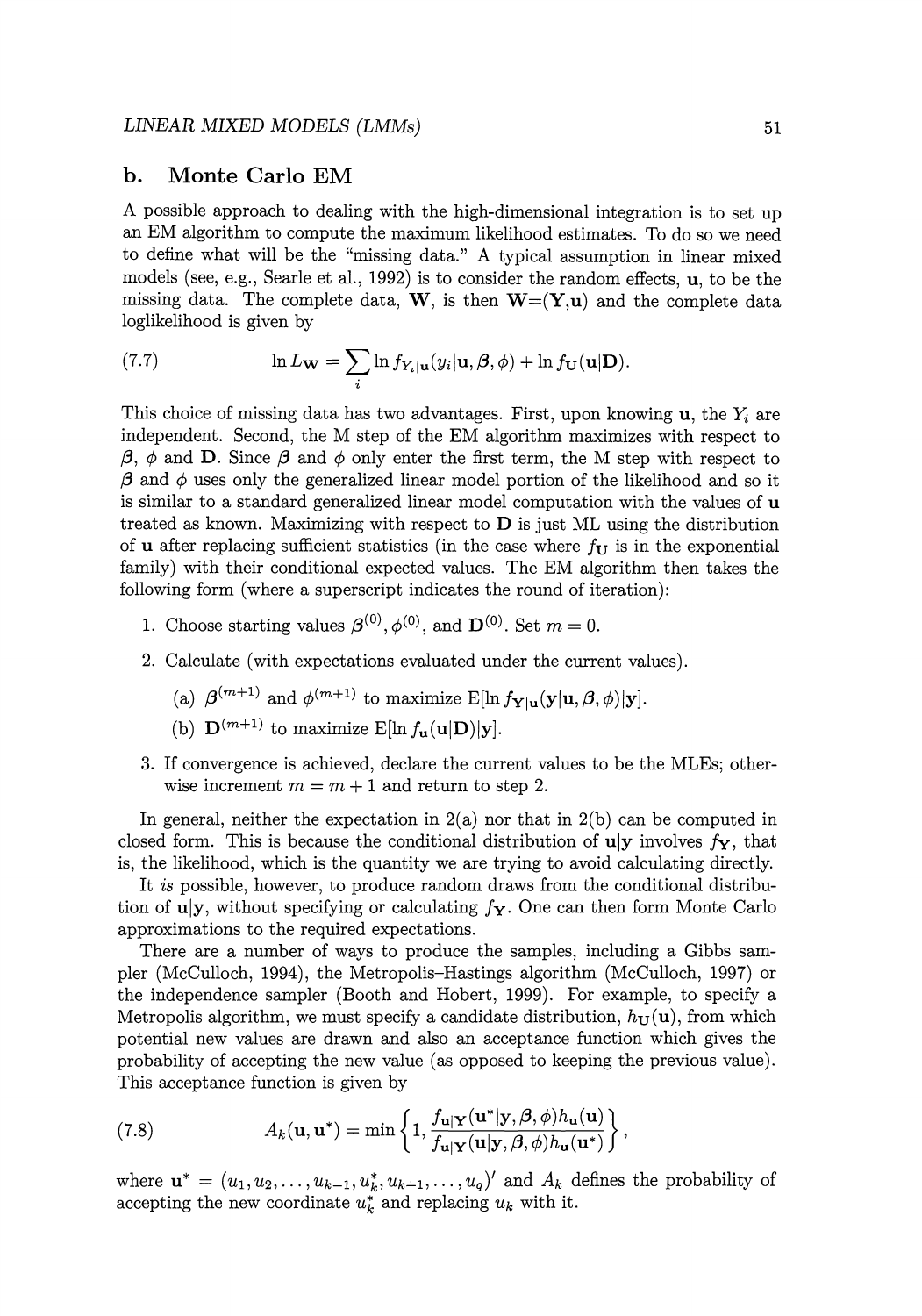#### **b. Monte Carlo EM**

A possible approach to dealing with the high-dimensional integration is to set up an EM algorithm to compute the maximum likelihood estimates. To do so we need to define what will be the "missing data." A typical assumption in linear mixed models (see, e.g., Searle et al., 1992) is to consider the random effects, **u,** to be the missing data. The complete data,  $W$ , is then  $W=(Y,u)$  and the complete data loglikelihood is given by

(7.7) 
$$
\ln L_{\mathbf{W}} = \sum_{i} \ln f_{Y_i|\mathbf{u}}(y_i|\mathbf{u}, \boldsymbol{\beta}, \phi) + \ln f_{\mathbf{U}}(\mathbf{u}|\mathbf{D}).
$$

This choice of missing data has two advantages. First, upon knowing **u,** the *Yi* are independent. Second, the M step of the EM algorithm maximizes with respect to  $\beta$ ,  $\phi$  and **D**. Since  $\beta$  and  $\phi$  only enter the first term, the M step with respect to  $\beta$  and  $\phi$  uses only the generalized linear model portion of the likelihood and so it is similar to a standard generalized linear model computation with the values of **u**  treated as known. Maximizing with respect to **D** is just ML using the distribution of **u** after replacing sufficient statistics (in the case where  $f_{\mathbf{U}}$  is in the exponential family) with their conditional expected values. The EM algorithm then takes the following form (where a superscript indicates the round of iteration):

- 1. Choose starting values  $\boldsymbol{\beta}^{(0)}$ ,  $\phi^{(0)}$ , and  $\mathbf{D}^{(0)}$ . Set  $m = 0$ .
- 2. Calculate (with expectations evaluated under the current values).
	- (a)  $\beta^{(m+1)}$  and  $\phi^{(m+1)}$  to maximize E[ln  $f_{\mathbf{Y}|\mathbf{u}}(\mathbf{y}|\mathbf{u}, \beta, \phi)|\mathbf{y}$ ].
	- (b)  $\mathbf{D}^{(m+1)}$  to maximize E[ln  $f_{\mathbf{u}}(\mathbf{u}|\mathbf{D})|\mathbf{v}$ ].
- 3. If convergence is achieved, declare the current values to be the MLEs; otherwise increment  $m = m + 1$  and return to step 2.

In general, neither the expectation in 2(a) nor that in 2(b) can be computed in closed form. This is because the conditional distribution of  $u|y$  involves  $f<sub>y</sub>$ , that is, the likelihood, which is the quantity we are trying to avoid calculating directly.

It *is* possible, however, to produce random draws from the conditional distribution of uly, without specifying or calculating  $f_Y$ . One can then form Monte Carlo approximations to the required expectations.

There are a number of ways to produce the samples, including a Gibbs sampler (McCulloch, 1994), the Metropolis-Hastings algorithm (McCulloch, 1997) or the independence sampler (Booth and Hobert, 1999). For example, to specify a Metropolis algorithm, we must specify a candidate distribution,  $h_{\text{U}}(\mathbf{u})$ , from which potential new values are drawn and also an acceptance function which gives the probability of accepting the new value (as opposed to keeping the previous value). This acceptance function is given by

(7.8) 
$$
A_k(\mathbf{u}, \mathbf{u}^*) = \min\left\{1, \frac{f_{\mathbf{u}|\mathbf{Y}}(\mathbf{u}^*|\mathbf{y}, \beta, \phi)h_{\mathbf{u}}(\mathbf{u})}{f_{\mathbf{u}|\mathbf{Y}}(\mathbf{u}|\mathbf{y}, \beta, \phi)h_{\mathbf{u}}(\mathbf{u}^*)}\right\},
$$

where  $\mathbf{u}^* = (u_1, u_2, \ldots, u_{k-1}, u_k^*, u_{k+1}, \ldots, u_q)$  and  $A_k$  defines the probability of accepting the new coordinate  $u_k^*$  and replacing  $u_k$  with it.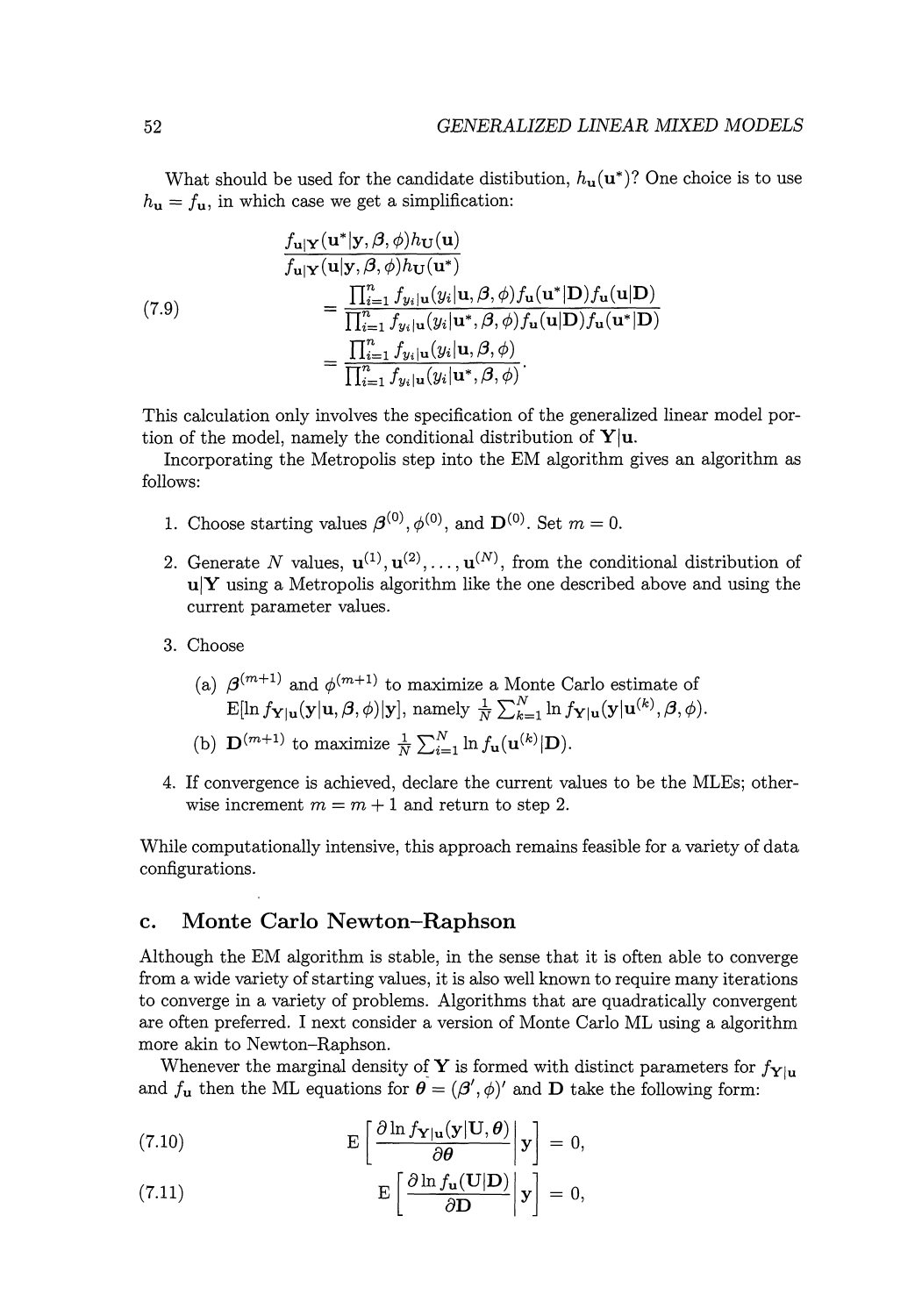What should be used for the candidate distibution,  $h_{\mathbf{u}}(\mathbf{u}^*)$ ? One choice is to use  $h_{\bf u} = f_{\bf u}$ , in which case we get a simplification:

(7.9)  
\n
$$
\frac{f_{\mathbf{u}|\mathbf{Y}}(\mathbf{u}|\mathbf{y},\beta,\phi)h_{\mathbf{U}}(\mathbf{u})}{f_{\mathbf{u}|\mathbf{Y}}(\mathbf{u}|\mathbf{y},\beta,\phi)h_{\mathbf{U}}(\mathbf{u}^*)}
$$
\n
$$
=\frac{\prod_{i=1}^n f_{y_i|\mathbf{u}}(y_i|\mathbf{u},\beta,\phi) f_{\mathbf{u}}(\mathbf{u}^*|\mathbf{D}) f_{\mathbf{u}}(\mathbf{u}|\mathbf{D})}{\prod_{i=1}^n f_{y_i|\mathbf{u}}(y_i|\mathbf{u}^*,\beta,\phi) f_{\mathbf{u}}(\mathbf{u}|\mathbf{D}) f_{\mathbf{u}}(\mathbf{u}^*|\mathbf{D})}
$$
\n
$$
=\frac{\prod_{i=1}^n f_{y_i|\mathbf{u}}(y_i|\mathbf{u},\beta,\phi)}{\prod_{i=1}^n f_{y_i|\mathbf{u}}(y_i|\mathbf{u}^*,\beta,\phi)}.
$$

This calculation only involves the specification of the generalized linear model portion of the model, namely the conditional distribution of  $Y|u$ .

Incorporating the Metropolis step into the EM algorithm gives an algorithm as follows:

- 1. Choose starting values  $\boldsymbol{\beta}^{(0)}$ ,  $\phi^{(0)}$ , and  $\mathbf{D}^{(0)}$ . Set  $m = 0$ .
- 2. Generate N values,  $\mathbf{u}^{(1)}, \mathbf{u}^{(2)}, \ldots, \mathbf{u}^{(N)}$ , from the conditional distribution of  $u|Y$  using a Metropolis algorithm like the one described above and using the current parameter values.
- 3. Choose
	- (a)  $\beta^{(m+1)}$  and  $\phi^{(m+1)}$  to maximize a Monte Carlo estimate of  $E[\ln f_{\mathbf{Y}|\mathbf{u}}(\mathbf{y}|\mathbf{u}, \boldsymbol{\beta}, \phi)|\mathbf{y}]$ , namely  $\frac{1}{N}\sum_{k=1}^{N}\ln f_{\mathbf{Y}|\mathbf{u}}(\mathbf{y}|\mathbf{u}^{(k)}, \boldsymbol{\beta}, \phi)$ .
	- (b)  $\mathbf{D}^{(m+1)}$  to maximize  $\frac{1}{N}\sum_{i=1}^{N}\ln f_{\mathbf{u}}(\mathbf{u}^{(k)}|\mathbf{D}).$
- 4. If convergence is achieved, declare the current values to be the MLEs; otherwise increment  $m = m + 1$  and return to step 2.

While computationally intensive, this approach remains feasible for a variety of data configurations.

#### **c. Monte Carlo Newton-Raphson**

Although the EM algorithm is stable, in the sense that it is often able to converge from a wide variety of starting values, it is also well known to require many iterations to converge in a variety of problems. Algorithms that are quadratically convergent are often preferred. I next consider a version of Monte Carlo ML using a algorithm more akin to Newton-Raphson.

Whenever the marginal density of **Y** is formed with distinct parameters for  $f_{\mathbf{Y}|u}$ and  $f_{\bf{u}}$  then the ML equations for  $\boldsymbol{\theta} = (\boldsymbol{\beta}', \phi)'$  and **D** take the following form:

(7.10) 
$$
\mathbf{E}\left[\frac{\partial \ln f_{\mathbf{Y}|\mathbf{u}}(\mathbf{y}|\mathbf{U},\boldsymbol{\theta})}{\partial \boldsymbol{\theta}}\Big|\mathbf{y}\right] = 0,
$$

(7.11) 
$$
\mathbf{E}\left[\left.\frac{\partial \ln f_{\mathbf{u}}(\mathbf{U}|\mathbf{D})}{\partial \mathbf{D}}\right|\mathbf{y}\right]=0,
$$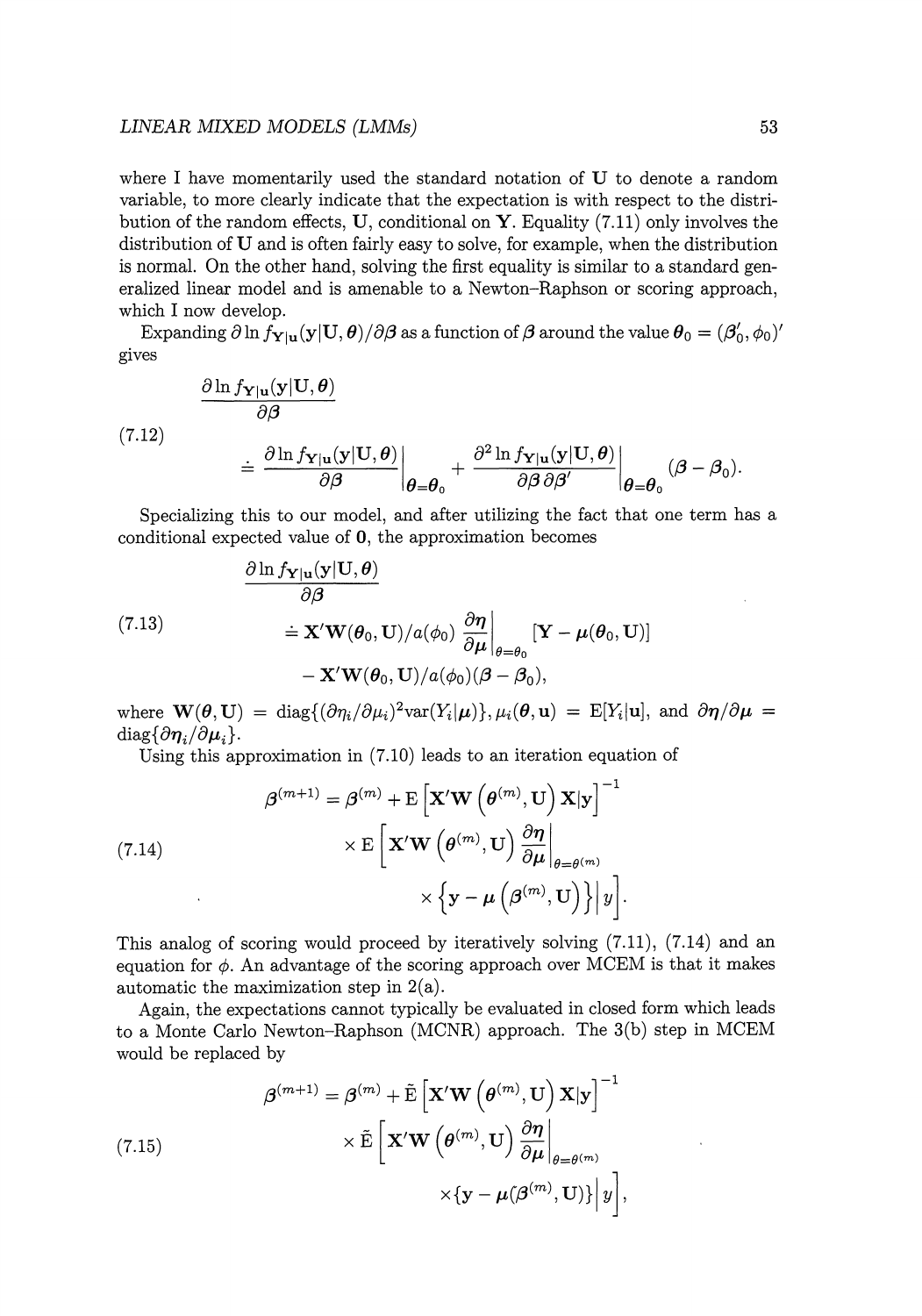#### *LINEAR MIXED MODELS (LMMs)* 53

where I have momentarily used the standard notation of U to denote a random variable, to more clearly indicate that the expectation is with respect to the distribution of the random effects, **U,** conditional on **Y.** Equality (7.11) only involves the distribution of **U** and is often fairly easy to solve, for example, when the distribution is normal. On the other hand, solving the first equality is similar to a standard generalized linear model and is amenable to a Newton-Raphson or scoring approach, which I now develop.

Expanding  $\partial \ln f_{Y|u}(y|U, \theta)/\partial \beta$  as a function of  $\beta$  around the value  $\theta_0 = (\beta'_0, \phi_0)'$ gives

(7.12)  
\n
$$
\frac{\partial \ln f_{\mathbf{Y}|\mathbf{u}}(\mathbf{y}|\mathbf{U}, \boldsymbol{\theta})}{\partial \beta} \stackrel{\mathbf{X}|\mathbf{u}(\mathbf{y}|\mathbf{U}, \boldsymbol{\theta})}{\partial \beta}\Big|_{\boldsymbol{\theta} = \boldsymbol{\theta}_0} + \frac{\partial^2 \ln f_{\mathbf{Y}|\mathbf{u}}(\mathbf{y}|\mathbf{U}, \boldsymbol{\theta})}{\partial \beta \partial \beta'} \Big|_{\boldsymbol{\theta} = \boldsymbol{\theta}_0} (\boldsymbol{\beta} - \boldsymbol{\beta}_0).
$$

Specializing this to our model, and after utilizing the fact that one term has a conditional expected value of **0,** the approximation becomes

(7.13)  
\n
$$
\frac{\partial \ln f_{\mathbf{Y}|\mathbf{u}}(\mathbf{y}|\mathbf{U}, \boldsymbol{\theta})}{\partial \boldsymbol{\beta}} \stackrel{=}{=} \mathbf{X}' \mathbf{W}(\boldsymbol{\theta}_0, \mathbf{U}) / a(\phi_0) \frac{\partial \boldsymbol{\eta}}{\partial \boldsymbol{\mu}} \bigg|_{\boldsymbol{\theta} = \boldsymbol{\theta}_0} [\mathbf{Y} - \boldsymbol{\mu}(\boldsymbol{\theta}_0, \mathbf{U})] - \mathbf{X}' \mathbf{W}(\boldsymbol{\theta}_0, \mathbf{U}) / a(\phi_0) (\boldsymbol{\beta} - \boldsymbol{\beta}_0),
$$

where  $\mathbf{W}(\boldsymbol{\theta}, \mathbf{U}) = \text{diag}\{(\partial \eta_i/\partial \mu_i)^2 \text{var}(Y_i|\boldsymbol{\mu})\}, \mu_i(\boldsymbol{\theta}, \mathbf{u}) = \text{E}[Y_i|\mathbf{u}], \text{ and } \partial \boldsymbol{\eta}/\partial \boldsymbol{\mu} =$  $diag{\lbrace \partial \eta_i / \partial \mu_i \rbrace}$ .

Using this approximation in (7.10) leads to an iteration equation of

(7.14)  

$$
\beta^{(m+1)} = \beta^{(m)} + \mathbf{E} \left[ \mathbf{X}' \mathbf{W} \left( \theta^{(m)}, \mathbf{U} \right) \mathbf{X} | \mathbf{y} \right]^{-1} \times \mathbf{E} \left[ \mathbf{X}' \mathbf{W} \left( \theta^{(m)}, \mathbf{U} \right) \frac{\partial \boldsymbol{\eta}}{\partial \boldsymbol{\mu}} \bigg|_{\theta = \theta^{(m)}} \right] \times \left\{ \mathbf{y} - \boldsymbol{\mu} \left( \beta^{(m)}, \mathbf{U} \right) \right\} \bigg| y \bigg].
$$

This analog of scoring would proceed by iteratively solving (7.11), (7.14) and an equation for  $\phi$ . An advantage of the scoring approach over MCEM is that it makes automatic the maximization step in  $2(a)$ .

Again, the expectations cannot typically be evaluated in closed form which leads to a Monte Carlo Newton-Raphson (MCNR) approach. The 3(b) step in MCEM would be replaced by

(7.15)  

$$
\beta^{(m+1)} = \beta^{(m)} + \tilde{\mathbb{E}} \left[ \mathbf{X}' \mathbf{W} \left( \theta^{(m)}, \mathbf{U} \right) \mathbf{X} | \mathbf{y} \right]^{-1} \times \tilde{\mathbb{E}} \left[ \mathbf{X}' \mathbf{W} \left( \theta^{(m)}, \mathbf{U} \right) \frac{\partial \boldsymbol{\eta}}{\partial \mu} \Big|_{\theta = \theta^{(m)}} \times \{ \mathbf{y} - \mu(\beta^{(m)}, \mathbf{U}) \} \Big| y \right],
$$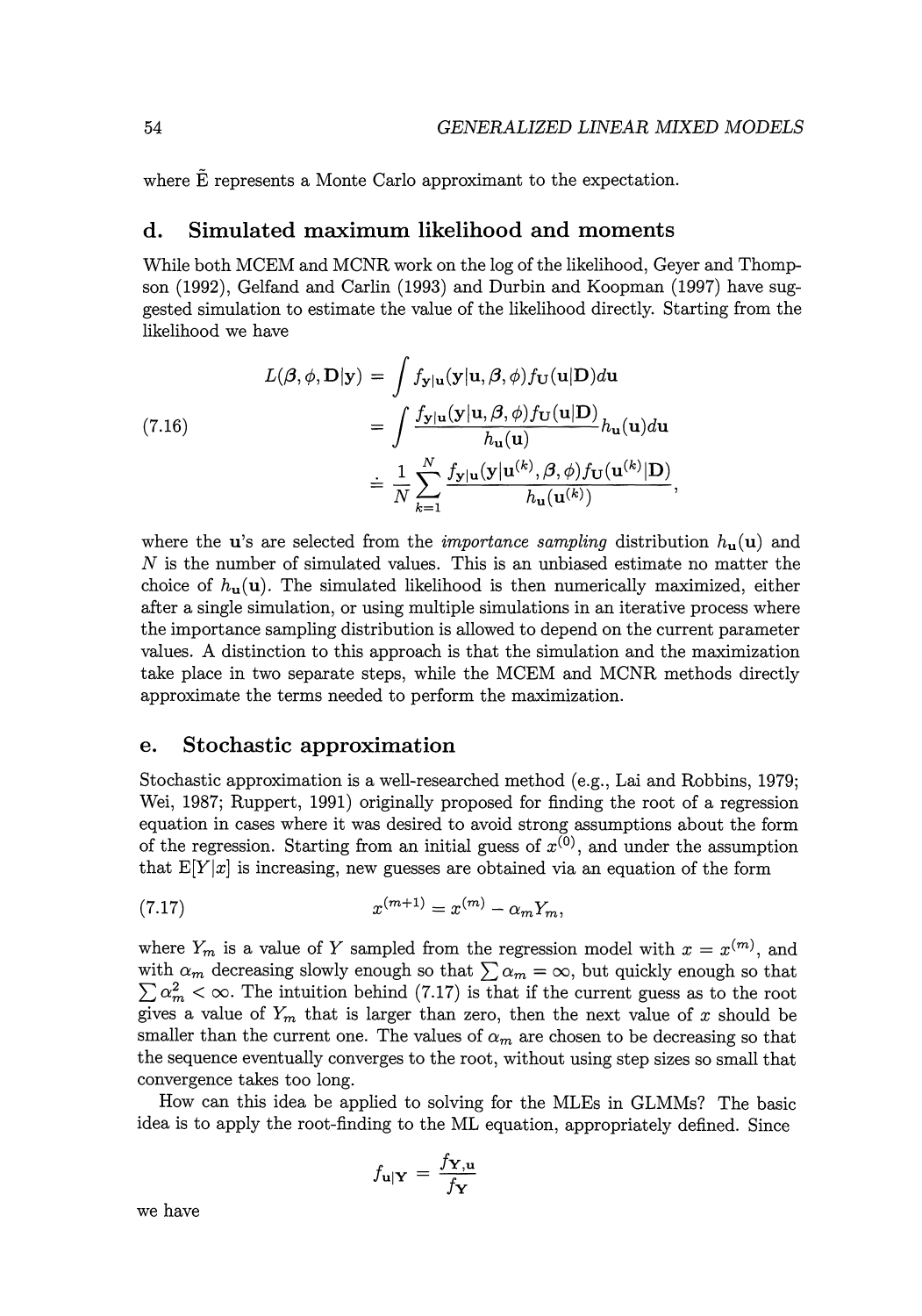where  $\tilde{E}$  represents a Monte Carlo approximant to the expectation.

#### **d. Simulated maximum likelihood and moments**

While both MCEM and MCNR work on the log of the likelihood, Geyer and Thompson (1992), Gelfand and Carlin (1993) and Durbin and Koopman (1997) have suggested simulation to estimate the value of the likelihood directly. Starting from the likelihood we have

(7.16)  
\n
$$
L(\boldsymbol{\beta}, \phi, \mathbf{D} | \mathbf{y}) = \int f_{\mathbf{y} | \mathbf{u}}(\mathbf{y} | \mathbf{u}, \boldsymbol{\beta}, \phi) f_{\mathbf{U}}(\mathbf{u} | \mathbf{D}) d\mathbf{u}
$$
\n
$$
= \int \frac{f_{\mathbf{y} | \mathbf{u}}(\mathbf{y} | \mathbf{u}, \boldsymbol{\beta}, \phi) f_{\mathbf{U}}(\mathbf{u} | \mathbf{D})}{h_{\mathbf{u}}(\mathbf{u})} h_{\mathbf{u}}(\mathbf{u}) d\mathbf{u}
$$
\n
$$
= \frac{1}{N} \sum_{k=1}^{N} \frac{f_{\mathbf{y} | \mathbf{u}}(\mathbf{y} | \mathbf{u}^{(k)}, \boldsymbol{\beta}, \phi) f_{\mathbf{U}}(\mathbf{u}^{(k)} | \mathbf{D})}{h_{\mathbf{u}}(\mathbf{u}^{(k)})},
$$

where the **u**'s are selected from the *importance sampling* distribution  $h_{\mathbf{u}}(\mathbf{u})$  and  $N$  is the number of simulated values. This is an unbiased estimate no matter the choice of  $h_{\mathbf{u}}(\mathbf{u})$ . The simulated likelihood is then numerically maximized, either after a single simulation, or using multiple simulations in an iterative process where the importance sampling distribution is allowed to depend on the current parameter values. A distinction to this approach is that the simulation and the maximization take place in two separate steps, while the MCEM and MCNR methods directly approximate the terms needed to perform the maximization.

#### e. **Stochastic approximation**

Stochastic approximation is a well-researched method (e.g., Lai and Robbins, 1979; Wei, 1987; Ruppert, 1991) originally proposed for finding the root of a regression equation in cases where it was desired to avoid strong assumptions about the form of the regression. Starting from an initial guess of  $x^{(0)}$ , and under the assumption that  $E[Y|x]$  is increasing, new guesses are obtained via an equation of the form

(7.17) 
$$
x^{(m+1)} = x^{(m)} - \alpha_m Y_m,
$$

where  $Y_m$  is a value of Y sampled from the regression model with  $x = x^{(m)}$ , and with  $\alpha_m$  decreasing slowly enough so that  $\sum \alpha_m = \infty$ , but quickly enough so that  $\sum \alpha_m^2 < \infty$ . The intuition behind (7.17) is that if the current guess as to the root gives a value of  $Y_m$  that is larger than zero, then the next value of x should be smaller than the current one. The values of  $\alpha_m$  are chosen to be decreasing so that the sequence eventually converges to the root, without using step sizes so small that convergence takes too long.

How can this idea be applied to solving for the MLEs in GLMMs? The basic idea is to apply the root-finding to the ML equation, appropriately defined. Since

$$
f_{\mathbf{u}|\mathbf{Y}} = \frac{f_{\mathbf{Y},\mathbf{u}}}{f_{\mathbf{Y}}}
$$

we have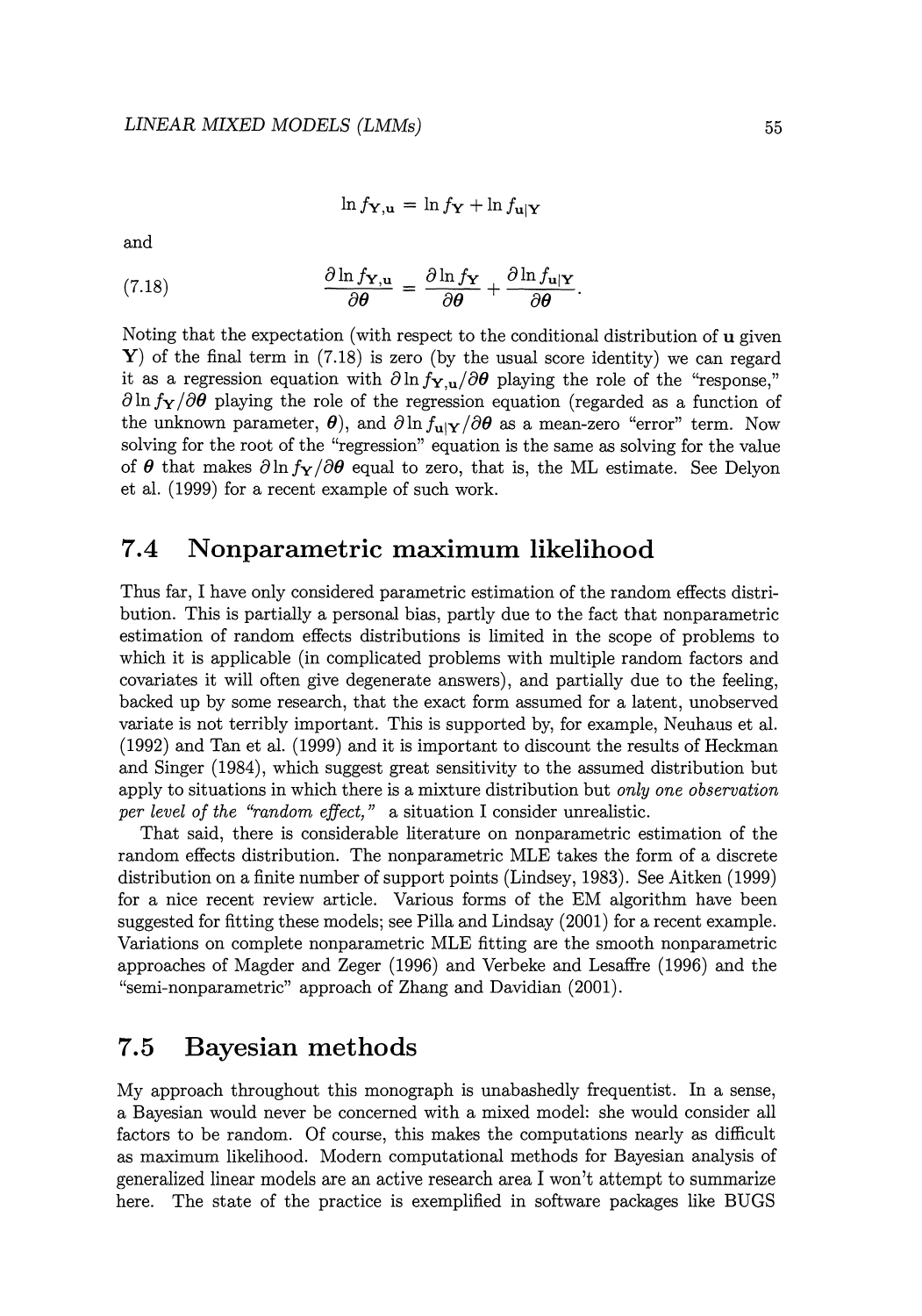$$
\ln f_{\mathbf{Y},\mathbf{u}} = \ln f_{\mathbf{Y}} + \ln f_{\mathbf{u}|\mathbf{Y}}
$$

and

(7.18) 
$$
\frac{\partial \ln f_{\mathbf{Y},\mathbf{u}}}{\partial \theta} = \frac{\partial \ln f_{\mathbf{Y}}}{\partial \theta} + \frac{\partial \ln f_{\mathbf{u}|\mathbf{Y}}}{\partial \theta}.
$$

Noting that the expectation (with respect to the conditional distribution of u given Y) of the final term in  $(7.18)$  is zero (by the usual score identity) we can regard it as a regression equation with  $\partial \ln f_{\mathbf{Y},u}/\partial \theta$  playing the role of the "response,"  $\partial \ln f_{\mathbf{Y}}/\partial \theta$  playing the role of the regression equation (regarded as a function of the unknown parameter,  $\theta$ ), and  $\partial \ln f_{\mathbf{u}|\mathbf{Y}}/\partial \theta$  as a mean-zero "error" term. Now solving for the root of the "regression" equation is the same as solving for the value of  $\theta$  that makes  $\partial \ln f_{\mathbf{Y}}/\partial \theta$  equal to zero, that is, the ML estimate. See Delyon et al. (1999) for a recent example of such work.

## **7.4 Nonparametric maximum likelihood**

Thus far, I have only considered parametric estimation of the random effects distribution. This is partially a personal bias, partly due to the fact that nonparametric estimation of random effects distributions is limited in the scope of problems to which it is applicable (in complicated problems with multiple random factors and covariates it will often give degenerate answers), and partially due to the feeling, backed up by some research, that the exact form assumed for a latent, unobserved variate is not terribly important. This is supported by, for example, Neuhaus et al. (1992) and Tan et al. (1999) and it is important to discount the results of Heckman and Singer (1984), which suggest great sensitivity to the assumed distribution but apply to situations in which there is a mixture distribution but *only one observation per level of the "random effect,"* a situation I consider unrealistic.

That said, there is considerable literature on nonparametric estimation of the random effects distribution. The nonparametric MLE takes the form of a discrete distribution on a finite number of support points (Lindsey, 1983). See Aitken (1999) for a nice recent review article. Various forms of the EM algorithm have been suggested for fitting these models; see Pilla and Lindsay (2001) for a recent example. Variations on complete nonparametric MLE fitting are the smooth nonparametric approaches of Magder and Zeger (1996) and Verbeke and Lesaffre (1996) and the "semi-nonparametric" approach of Zhang and Davidian (2001).

## **7.5 Bayesian methods**

My approach throughout this monograph is unabashedly frequentist. In a sense, a Bayesian would never be concerned with a mixed model: she would consider all factors to be random. Of course, this makes the computations nearly as difficult as maximum likelihood. Modern computational methods for Bayesian analysis of generalized linear models are an active research area I won't attempt to summarize here. The state of the practice is exemplified in software packages like BUGS